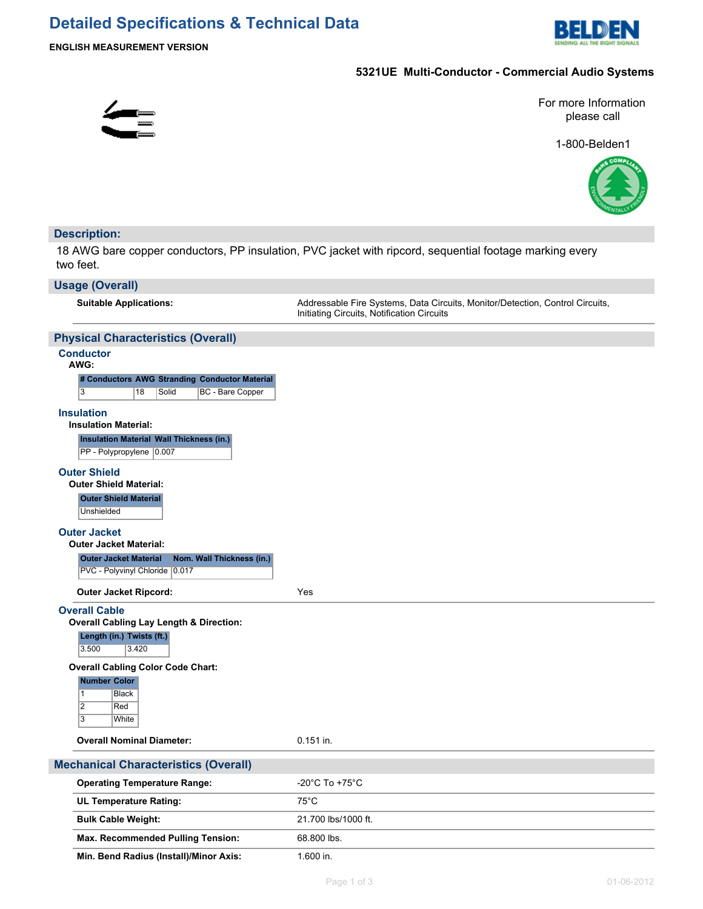# **Detailed Specifications & Technical Data**



**ENGLISH MEASUREMENT VERSION**

## **5321UE Multi-Conductor - Commercial Audio Systems**

For more Information please call

1-800-Belden1



## **Description:**

18 AWG bare copper conductors, PP insulation, PVC jacket with ripcord, sequential footage marking every two feet.

### **Usage (Overall)**

**Suitable Applications:** Addressable Fire Systems, Data Circuits, Monitor/Detection, Control Circuits,

Initiating Circuits, Notification Circuits

# **Physical Characteristics (Overall)**

# **Conductor**

|                           | AWG:                                                                                 |                                                    |                                               |                                      |  |  |  |  |  |
|---------------------------|--------------------------------------------------------------------------------------|----------------------------------------------------|-----------------------------------------------|--------------------------------------|--|--|--|--|--|
|                           |                                                                                      |                                                    | # Conductors AWG Stranding Conductor Material |                                      |  |  |  |  |  |
|                           | 3                                                                                    | 18<br>Solid                                        | <b>BC</b> - Bare Copper                       |                                      |  |  |  |  |  |
|                           | <b>Insulation</b><br><b>Insulation Material:</b>                                     |                                                    |                                               |                                      |  |  |  |  |  |
|                           | PP - Polypropylene 0.007                                                             | <b>Insulation Material Wall Thickness (in.)</b>    |                                               |                                      |  |  |  |  |  |
|                           | <b>Outer Shield</b><br><b>Outer Shield Material:</b><br><b>Outer Shield Material</b> |                                                    |                                               |                                      |  |  |  |  |  |
|                           | Unshielded                                                                           |                                                    |                                               |                                      |  |  |  |  |  |
|                           | <b>Outer Jacket</b>                                                                  |                                                    |                                               |                                      |  |  |  |  |  |
|                           | <b>Outer Jacket Material:</b>                                                        |                                                    |                                               |                                      |  |  |  |  |  |
|                           | <b>Outer Jacket Material</b>                                                         | PVC - Polyvinyl Chloride 0.017                     | Nom. Wall Thickness (in.)                     |                                      |  |  |  |  |  |
|                           | <b>Outer Jacket Ripcord:</b>                                                         |                                                    |                                               | Yes                                  |  |  |  |  |  |
|                           | <b>Overall Cable</b>                                                                 |                                                    |                                               |                                      |  |  |  |  |  |
|                           |                                                                                      | <b>Overall Cabling Lay Length &amp; Direction:</b> |                                               |                                      |  |  |  |  |  |
|                           | Length (in.) Twists (ft.)                                                            |                                                    |                                               |                                      |  |  |  |  |  |
|                           | 3.500                                                                                | 3.420                                              |                                               |                                      |  |  |  |  |  |
|                           |                                                                                      | <b>Overall Cabling Color Code Chart:</b>           |                                               |                                      |  |  |  |  |  |
|                           | <b>Number Color</b>                                                                  |                                                    |                                               |                                      |  |  |  |  |  |
|                           | $\mathbf{1}$<br>Black<br>$\overline{2}$<br>Red                                       |                                                    |                                               |                                      |  |  |  |  |  |
|                           | $\overline{3}$<br>White                                                              |                                                    |                                               |                                      |  |  |  |  |  |
|                           |                                                                                      |                                                    |                                               |                                      |  |  |  |  |  |
|                           |                                                                                      | <b>Overall Nominal Diameter:</b>                   |                                               | $0.151$ in.                          |  |  |  |  |  |
|                           | <b>Mechanical Characteristics (Overall)</b>                                          |                                                    |                                               |                                      |  |  |  |  |  |
|                           |                                                                                      | <b>Operating Temperature Range:</b>                |                                               | -20 $^{\circ}$ C To +75 $^{\circ}$ C |  |  |  |  |  |
|                           | <b>UL Temperature Rating:</b>                                                        |                                                    |                                               | $75^{\circ}$ C                       |  |  |  |  |  |
| <b>Bulk Cable Weight:</b> |                                                                                      |                                                    |                                               | 21.700 lbs/1000 ft.                  |  |  |  |  |  |

**Min. Bend Radius (Install)/Minor Axis:** 1.600 in.

Max. Recommended Pulling Tension: 68.800 lbs.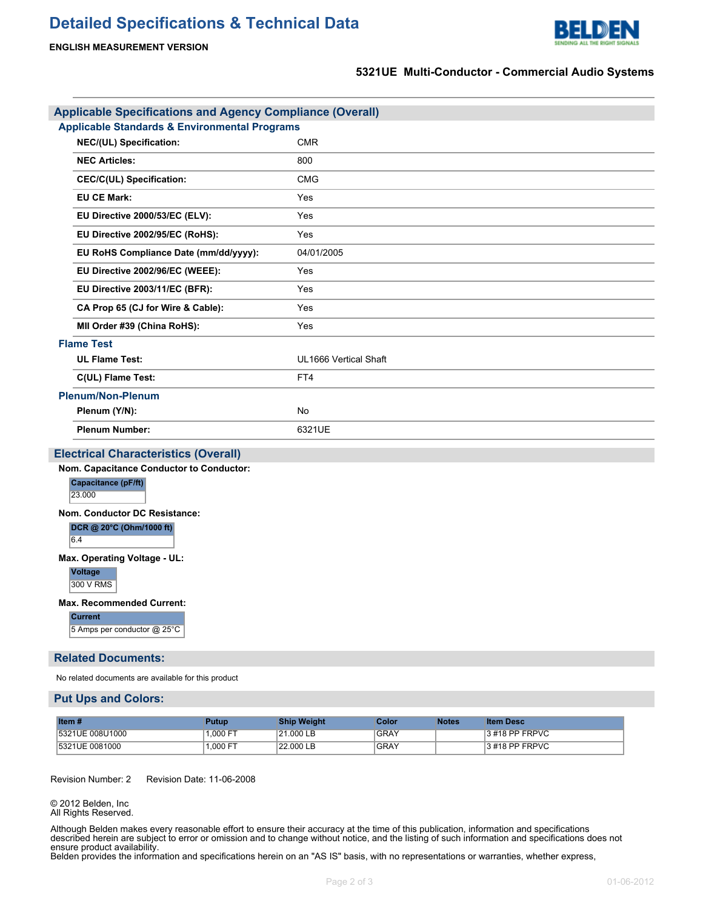# **Detailed Specifications & Technical Data**



**ENGLISH MEASUREMENT VERSION**

### **5321UE Multi-Conductor - Commercial Audio Systems**

| <b>Applicable Specifications and Agency Compliance (Overall)</b> |                       |  |  |  |  |  |  |  |
|------------------------------------------------------------------|-----------------------|--|--|--|--|--|--|--|
| <b>Applicable Standards &amp; Environmental Programs</b>         |                       |  |  |  |  |  |  |  |
| NEC/(UL) Specification:                                          | <b>CMR</b>            |  |  |  |  |  |  |  |
| <b>NEC Articles:</b>                                             | 800                   |  |  |  |  |  |  |  |
| <b>CEC/C(UL) Specification:</b>                                  | <b>CMG</b>            |  |  |  |  |  |  |  |
| <b>EU CE Mark:</b>                                               | Yes                   |  |  |  |  |  |  |  |
| EU Directive 2000/53/EC (ELV):                                   | Yes                   |  |  |  |  |  |  |  |
| EU Directive 2002/95/EC (RoHS):                                  | Yes                   |  |  |  |  |  |  |  |
| EU RoHS Compliance Date (mm/dd/yyyy):                            | 04/01/2005            |  |  |  |  |  |  |  |
| EU Directive 2002/96/EC (WEEE):                                  | Yes                   |  |  |  |  |  |  |  |
| EU Directive 2003/11/EC (BFR):                                   | Yes                   |  |  |  |  |  |  |  |
| CA Prop 65 (CJ for Wire & Cable):                                | Yes                   |  |  |  |  |  |  |  |
| MII Order #39 (China RoHS):                                      | Yes                   |  |  |  |  |  |  |  |
| <b>Flame Test</b>                                                |                       |  |  |  |  |  |  |  |
| <b>UL Flame Test:</b>                                            | UL1666 Vertical Shaft |  |  |  |  |  |  |  |
| C(UL) Flame Test:                                                | FT4                   |  |  |  |  |  |  |  |
| <b>Plenum/Non-Plenum</b>                                         |                       |  |  |  |  |  |  |  |
| Plenum (Y/N):                                                    | No                    |  |  |  |  |  |  |  |
| <b>Plenum Number:</b>                                            | 6321UE                |  |  |  |  |  |  |  |
| <b>Electrical Characteristics (Overall)</b>                      |                       |  |  |  |  |  |  |  |
| Nom. Capacitance Conductor to Conductor:                         |                       |  |  |  |  |  |  |  |
| Capacitance (pF/ft)<br>23.000                                    |                       |  |  |  |  |  |  |  |
| Nom. Conductor DC Resistance:                                    |                       |  |  |  |  |  |  |  |
| DCR @ 20°C (Ohm/1000 ft)<br>6.4                                  |                       |  |  |  |  |  |  |  |
| Max. Operating Voltage - UL:                                     |                       |  |  |  |  |  |  |  |
| <b>Voltage</b><br>300 V RMS                                      |                       |  |  |  |  |  |  |  |
| <b>Max. Recommended Current:</b>                                 |                       |  |  |  |  |  |  |  |
| <b>Current</b><br>5 Amps per conductor @ 25°C                    |                       |  |  |  |  |  |  |  |
| <b>Related Documents:</b>                                        |                       |  |  |  |  |  |  |  |

No related documents are available for this product

#### **Put Ups and Colors:**

| Item#           | Putup    | <b>Ship Weight</b> | Color       | <b>Notes</b> | <b>Item Desc</b> |
|-----------------|----------|--------------------|-------------|--------------|------------------|
| 5321UE 008U1000 | 1.000 FT | 21.000 LB          | <b>GRAY</b> |              | 3 #18 PP FRPVC   |
| 5321UE 0081000  | 1.000 FT | 22.000 LB          | <b>GRAY</b> |              | 3 #18 PP FRPVC   |

Revision Number: 2 Revision Date: 11-06-2008

© 2012 Belden, Inc All Rights Reserved.

Although Belden makes every reasonable effort to ensure their accuracy at the time of this publication, information and specifications described herein are subject to error or omission and to change without notice, and the listing of such information and specifications does not ensure product availability.

Belden provides the information and specifications herein on an "AS IS" basis, with no representations or warranties, whether express,